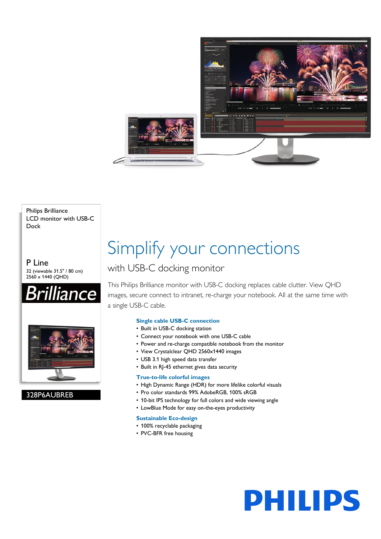

Philips Brilliance LCD monitor with USB-C Dock

P Line 32 (viewable 31.5" / 80 cm) 2560 x 1440 (QHD)





328P6AUBREB

## Simplify your connections

### with USB-C docking monitor

This Philips Brilliance monitor with USB-C docking replaces cable clutter. View QHD images, secure connect to intranet, re-charge your notebook. All at the same time with a single USB-C cable.

### **Single cable USB-C connection**

- Built in USB-C docking station
- Connect your notebook with one USB-C cable
- Power and re-charge compatible notebook from the monitor
- View Crystalclear QHD 2560x1440 images
- USB 3.1 high speed data transfer
- Built in RJ-45 ethernet gives data security

### **True-to-life colorful images**

- High Dynamic Range (HDR) for more lifelike colorful visuals
- Pro color standards 99% AdobeRGB, 100% sRGB
- 10-bit IPS technology for full colors and wide viewing angle
- LowBlue Mode for easy on-the-eyes productivity

### **Sustainable Eco-design**

- 100% recyclable packaging
- PVC-BFR free housing

# **PHILIPS**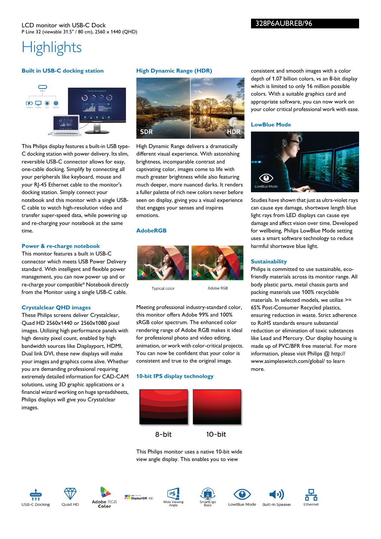## **Highlights**

### **Built in USB-C docking station**



This Philips display features a built-in USB type-C docking station with power delivery. Its slim, reversible USB-C connector allows for easy, one-cable docking. Simplify by connecting all your peripherals like keyboard, mouse and your RJ-45 Ethernet cable to the monitor's docking station. Simply connect your notebook and this monitor with a single USB-C cable to watch high-resolution video and transfer super-speed data, while powering up and re-charging your notebook at the same time.

### **Power & re-charge notebook**

This monitor features a built in USB-C connector which meets USB Power Delivery standard. With intelligent and flexible power management, you can now power up and or re-charge your compatible\* Notebook directly from the Monitor using a single USB-C cable.

### **Crystalclear QHD images**

These Philips screens deliver Crystalclear, Quad HD 2560x1440 or 2560x1080 pixel images. Utilizing high performance panels with high density pixel count, enabled by high bandwidth sources like Displayport, HDMI, Dual link DVI, these new displays will make your images and graphics come alive. Whether you are demanding professional requiring extremely detailed information for CAD-CAM solutions, using 3D graphic applications or a financial wizard working on huge spreadsheets, Philips displays will give you Crystalclear images.

### **High Dynamic Range (HDR)**



High Dynamic Range delivers a dramatically different visual experience. With astonishing brightness, incomparable contrast and captivating color, images come to life with much greater brightness while also featuring much deeper, more nuanced darks. It renders a fuller palette of rich new colors never before seen on display, giving you a visual experience that engages your senses and inspires emotions.

### **AdobeRGB**



Typical color

Adobe RGB

Meeting professional industry-standard color, this monitor offers Adobe 99% and 100% sRGB color spectrum. The enhanced color rendering range of Adobe RGB makes it ideal for professional photo and video editing, animation, or work with color-critical projects. You can now be confident that your color is consistent and true to the original image.

### **10-bit IPS display technology**



This Philips monitor uses a native 10-bit wide view angle display. This enables you to view















Ethernet

consistent and smooth images with a color depth of 1.07 billion colors, vs an 8-bit display which is limited to only 16 million possible colors. With a suitable graphics card and appropriate software, you can now work on your color critical professional work with ease.

### **LowBlue Mode**



Studies have shown that just as ultra-violet rays can cause eye damage, shortwave length blue light rays from LED displays can cause eye damage and affect vision over time. Developed for wellbeing, Philips LowBlue Mode setting uses a smart software technology to reduce harmful shortwave blue light.

### **Sustainability**

Philips is committed to use sustainable, ecofriendly materials across its monitor range. All body plastic parts, metal chassis parts and packing materials use 100% recyclable materials. In selected models, we utilize >= 65% Post-Consumer Recycled plastics, ensuring reduction in waste. Strict adherence to RoHS standards ensure substantial reduction or elimination of toxic substances like Lead and Mercury. Our display housing is made up of PVC/BFR free material. For more information, please visit Philips @ http:// www.asimpleswitch.com/global/ to learn more.